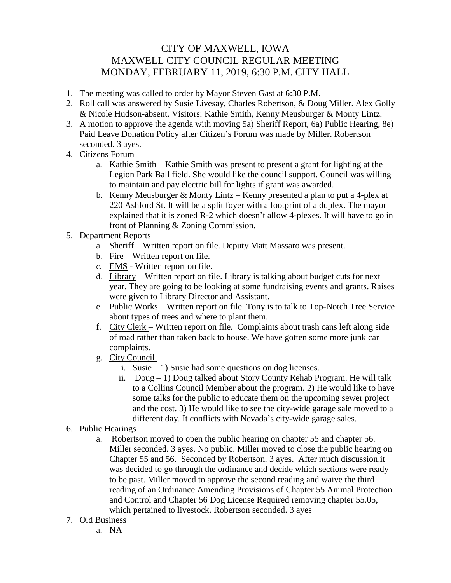## CITY OF MAXWELL, IOWA MAXWELL CITY COUNCIL REGULAR MEETING MONDAY, FEBRUARY 11, 2019, 6:30 P.M. CITY HALL

- 1. The meeting was called to order by Mayor Steven Gast at 6:30 P.M.
- 2. Roll call was answered by Susie Livesay, Charles Robertson, & Doug Miller. Alex Golly & Nicole Hudson-absent. Visitors: Kathie Smith, Kenny Meusburger & Monty Lintz.
- 3. A motion to approve the agenda with moving 5a) Sheriff Report, 6a) Public Hearing, 8e) Paid Leave Donation Policy after Citizen's Forum was made by Miller. Robertson seconded. 3 ayes.
- 4. Citizens Forum
	- a. Kathie Smith Kathie Smith was present to present a grant for lighting at the Legion Park Ball field. She would like the council support. Council was willing to maintain and pay electric bill for lights if grant was awarded.
	- b. Kenny Meusburger & Monty Lintz Kenny presented a plan to put a 4-plex at 220 Ashford St. It will be a split foyer with a footprint of a duplex. The mayor explained that it is zoned R-2 which doesn't allow 4-plexes. It will have to go in front of Planning & Zoning Commission.
- 5. Department Reports
	- a. Sheriff Written report on file. Deputy Matt Massaro was present.
	- b. Fire Written report on file.
	- c. EMS Written report on file.
	- d. Library Written report on file. Library is talking about budget cuts for next year. They are going to be looking at some fundraising events and grants. Raises were given to Library Director and Assistant.
	- e. Public Works Written report on file. Tony is to talk to Top-Notch Tree Service about types of trees and where to plant them.
	- f. City Clerk Written report on file. Complaints about trash cans left along side of road rather than taken back to house. We have gotten some more junk car complaints.
	- g. City Council
		- i. Susie 1) Susie had some questions on dog licenses.
		- ii.  $Doug 1$ ) Doug talked about Story County Rehab Program. He will talk to a Collins Council Member about the program. 2) He would like to have some talks for the public to educate them on the upcoming sewer project and the cost. 3) He would like to see the city-wide garage sale moved to a different day. It conflicts with Nevada's city-wide garage sales.
- 6. Public Hearings
	- a. Robertson moved to open the public hearing on chapter 55 and chapter 56. Miller seconded. 3 ayes. No public. Miller moved to close the public hearing on Chapter 55 and 56. Seconded by Robertson. 3 ayes. After much discussion.it was decided to go through the ordinance and decide which sections were ready to be past. Miller moved to approve the second reading and waive the third reading of an Ordinance Amending Provisions of Chapter 55 Animal Protection and Control and Chapter 56 Dog License Required removing chapter 55.05, which pertained to livestock. Robertson seconded. 3 ayes
- 7. Old Business
	- a. NA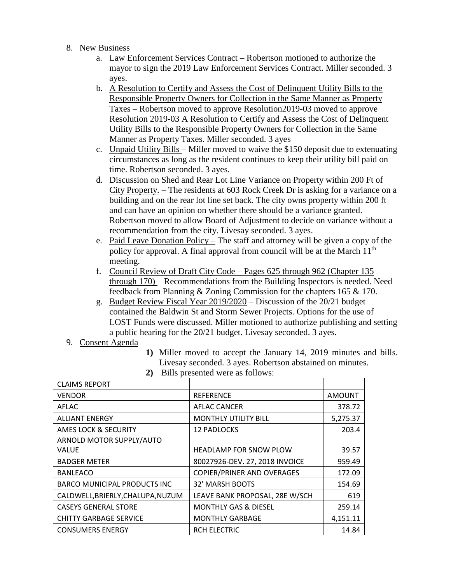- 8. New Business
	- a. Law Enforcement Services Contract Robertson motioned to authorize the mayor to sign the 2019 Law Enforcement Services Contract. Miller seconded. 3 ayes.
	- b. A Resolution to Certify and Assess the Cost of Delinquent Utility Bills to the Responsible Property Owners for Collection in the Same Manner as Property Taxes – Robertson moved to approve Resolution2019-03 moved to approve Resolution 2019-03 A Resolution to Certify and Assess the Cost of Delinquent Utility Bills to the Responsible Property Owners for Collection in the Same Manner as Property Taxes. Miller seconded. 3 ayes
	- c. Unpaid Utility Bills Miller moved to waive the \$150 deposit due to extenuating circumstances as long as the resident continues to keep their utility bill paid on time. Robertson seconded. 3 ayes.
	- d. Discussion on Shed and Rear Lot Line Variance on Property within 200 Ft of City Property. – The residents at 603 Rock Creek Dr is asking for a variance on a building and on the rear lot line set back. The city owns property within 200 ft and can have an opinion on whether there should be a variance granted. Robertson moved to allow Board of Adjustment to decide on variance without a recommendation from the city. Livesay seconded. 3 ayes.
	- e. Paid Leave Donation Policy The staff and attorney will be given a copy of the policy for approval. A final approval from council will be at the March 11<sup>th</sup> meeting.
	- f. Council Review of Draft City Code Pages 625 through 962 (Chapter 135 through 170) – Recommendations from the Building Inspectors is needed. Need feedback from Planning & Zoning Commission for the chapters 165 & 170.
	- g. Budget Review Fiscal Year 2019/2020 Discussion of the 20/21 budget contained the Baldwin St and Storm Sewer Projects. Options for the use of LOST Funds were discussed. Miller motioned to authorize publishing and setting a public hearing for the 20/21 budget. Livesay seconded. 3 ayes.
- 9. Consent Agenda
- **1)** Miller moved to accept the January 14, 2019 minutes and bills. Livesay seconded. 3 ayes. Robertson abstained on minutes.

| 2) | Bills presented were as follows: |
|----|----------------------------------|
|    |                                  |

| <b>CLAIMS REPORT</b>                |                                   |               |
|-------------------------------------|-----------------------------------|---------------|
| <b>VENDOR</b>                       | <b>REFERENCE</b>                  | <b>AMOUNT</b> |
| AFLAC                               | AFLAC CANCER                      | 378.72        |
| <b>ALLIANT ENERGY</b>               | <b>MONTHLY UTILITY BILL</b>       | 5,275.37      |
| <b>AMES LOCK &amp; SECURITY</b>     | <b>12 PADLOCKS</b>                | 203.4         |
| ARNOLD MOTOR SUPPLY/AUTO            |                                   |               |
| VALUE                               | <b>HEADLAMP FOR SNOW PLOW</b>     | 39.57         |
| <b>BADGER METER</b>                 | 80027926-DEV. 27, 2018 INVOICE    | 959.49        |
| <b>BANLEACO</b>                     | <b>COPIER/PRINER AND OVERAGES</b> | 172.09        |
| <b>BARCO MUNICIPAL PRODUCTS INC</b> | 32' MARSH BOOTS                   | 154.69        |
| CALDWELL, BRIERLY, CHALUPA, NUZUM   | LEAVE BANK PROPOSAL, 28E W/SCH    | 619           |
| <b>CASEYS GENERAL STORE</b>         | <b>MONTHLY GAS &amp; DIESEL</b>   | 259.14        |
| <b>CHITTY GARBAGE SERVICE</b>       | <b>MONTHLY GARBAGE</b>            | 4,151.11      |
| <b>CONSUMERS ENERGY</b>             | RCH ELECTRIC                      | 14.84         |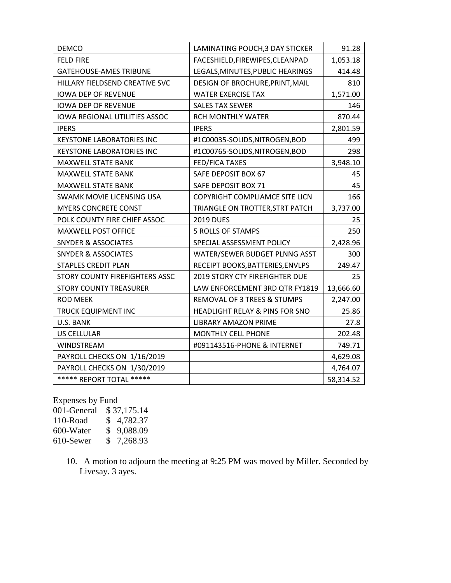| <b>DEMCO</b>                         | LAMINATING POUCH, 3 DAY STICKER           | 91.28     |
|--------------------------------------|-------------------------------------------|-----------|
| <b>FELD FIRE</b>                     | FACESHIELD, FIREWIPES, CLEANPAD           | 1,053.18  |
| <b>GATEHOUSE-AMES TRIBUNE</b>        | LEGALS, MINUTES, PUBLIC HEARINGS          | 414.48    |
| HILLARY FIELDSEND CREATIVE SVC       | DESIGN OF BROCHURE, PRINT, MAIL           | 810       |
| <b>IOWA DEP OF REVENUE</b>           | <b>WATER EXERCISE TAX</b>                 | 1,571.00  |
| <b>IOWA DEP OF REVENUE</b>           | <b>SALES TAX SEWER</b>                    | 146       |
| <b>IOWA REGIONAL UTILITIES ASSOC</b> | <b>RCH MONTHLY WATER</b>                  | 870.44    |
| <b>IPERS</b>                         | <b>IPERS</b>                              | 2,801.59  |
| <b>KEYSTONE LABORATORIES INC</b>     | #1C00035-SOLIDS,NITROGEN,BOD              | 499       |
| <b>KEYSTONE LABORATORIES INC</b>     | #1C00765-SOLIDS,NITROGEN,BOD              | 298       |
| MAXWELL STATE BANK                   | <b>FED/FICA TAXES</b>                     | 3,948.10  |
| <b>MAXWELL STATE BANK</b>            | SAFE DEPOSIT BOX 67                       | 45        |
| MAXWELL STATE BANK                   | SAFE DEPOSIT BOX 71                       | 45        |
| SWAMK MOVIE LICENSING USA            | <b>COPYRIGHT COMPLIAMCE SITE LICN</b>     | 166       |
| <b>MYERS CONCRETE CONST</b>          | TRIANGLE ON TROTTER, STRT PATCH           | 3,737.00  |
| POLK COUNTY FIRE CHIEF ASSOC         | <b>2019 DUES</b>                          | 25        |
| <b>MAXWELL POST OFFICE</b>           | 5 ROLLS OF STAMPS                         | 250       |
| <b>SNYDER &amp; ASSOCIATES</b>       | SPECIAL ASSESSMENT POLICY                 | 2,428.96  |
| <b>SNYDER &amp; ASSOCIATES</b>       | WATER/SEWER BUDGET PLNNG ASST             | 300       |
| <b>STAPLES CREDIT PLAN</b>           | RECEIPT BOOKS, BATTERIES, ENVLPS          | 249.47    |
| STORY COUNTY FIREFIGHTERS ASSC       | 2019 STORY CTY FIREFIGHTER DUE            | 25        |
| <b>STORY COUNTY TREASURER</b>        | LAW ENFORCEMENT 3RD QTR FY1819            | 13,666.60 |
| <b>ROD MEEK</b>                      | REMOVAL OF 3 TREES & STUMPS               | 2,247.00  |
| <b>TRUCK EQUIPMENT INC</b>           | <b>HEADLIGHT RELAY &amp; PINS FOR SNO</b> | 25.86     |
| U.S. BANK                            | <b>LIBRARY AMAZON PRIME</b>               | 27.8      |
| <b>US CELLULAR</b>                   | MONTHLY CELL PHONE                        | 202.48    |
| WINDSTREAM                           | #091143516-PHONE & INTERNET               | 749.71    |
| PAYROLL CHECKS ON 1/16/2019          |                                           | 4,629.08  |
| PAYROLL CHECKS ON 1/30/2019          |                                           | 4,764.07  |
| ***** REPORT TOTAL *****             |                                           | 58,314.52 |

Expenses by Fund 001-General \$ 37,175.14 110-Road \$ 4,782.37<br>600-Water \$ 9,088.09  $$9,088.09$ <br> $$7,268.93$  $610$ -Sewer

> 10. A motion to adjourn the meeting at 9:25 PM was moved by Miller. Seconded by Livesay. 3 ayes.